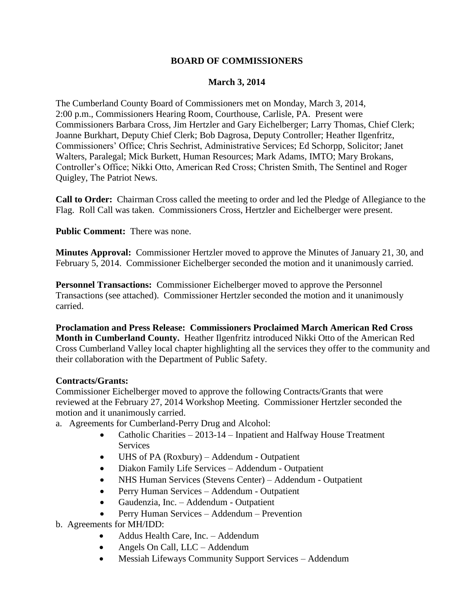## **BOARD OF COMMISSIONERS**

## **March 3, 2014**

The Cumberland County Board of Commissioners met on Monday, March 3, 2014, 2:00 p.m., Commissioners Hearing Room, Courthouse, Carlisle, PA. Present were Commissioners Barbara Cross, Jim Hertzler and Gary Eichelberger; Larry Thomas, Chief Clerk; Joanne Burkhart, Deputy Chief Clerk; Bob Dagrosa, Deputy Controller; Heather Ilgenfritz, Commissioners' Office; Chris Sechrist, Administrative Services; Ed Schorpp, Solicitor; Janet Walters, Paralegal; Mick Burkett, Human Resources; Mark Adams, IMTO; Mary Brokans, Controller's Office; Nikki Otto, American Red Cross; Christen Smith, The Sentinel and Roger Quigley, The Patriot News.

**Call to Order:** Chairman Cross called the meeting to order and led the Pledge of Allegiance to the Flag. Roll Call was taken. Commissioners Cross, Hertzler and Eichelberger were present.

**Public Comment:** There was none.

**Minutes Approval:** Commissioner Hertzler moved to approve the Minutes of January 21, 30, and February 5, 2014. Commissioner Eichelberger seconded the motion and it unanimously carried.

**Personnel Transactions:** Commissioner Eichelberger moved to approve the Personnel Transactions (see attached). Commissioner Hertzler seconded the motion and it unanimously carried.

**Proclamation and Press Release: Commissioners Proclaimed March American Red Cross Month in Cumberland County.** Heather Ilgenfritz introduced Nikki Otto of the American Red Cross Cumberland Valley local chapter highlighting all the services they offer to the community and their collaboration with the Department of Public Safety.

## **Contracts/Grants:**

Commissioner Eichelberger moved to approve the following Contracts/Grants that were reviewed at the February 27, 2014 Workshop Meeting. Commissioner Hertzler seconded the motion and it unanimously carried.

- a. Agreements for Cumberland-Perry Drug and Alcohol:
	- Catholic Charities 2013-14 Inpatient and Halfway House Treatment **Services**
	- UHS of PA (Roxbury) Addendum Outpatient
	- Diakon Family Life Services Addendum Outpatient
	- NHS Human Services (Stevens Center) Addendum Outpatient
	- Perry Human Services Addendum Outpatient
	- Gaudenzia, Inc. Addendum Outpatient
	- Perry Human Services Addendum Prevention
- b. Agreements for MH/IDD:
	- Addus Health Care, Inc. Addendum
	- Angels On Call, LLC Addendum
	- Messiah Lifeways Community Support Services Addendum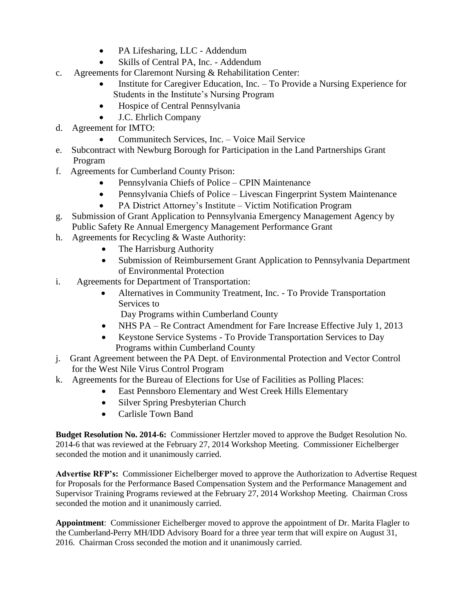- PA Lifesharing, LLC Addendum
- Skills of Central PA, Inc. Addendum
- c. Agreements for Claremont Nursing & Rehabilitation Center:
	- Institute for Caregiver Education, Inc. To Provide a Nursing Experience for Students in the Institute's Nursing Program
	- Hospice of Central Pennsylvania
	- J.C. Ehrlich Company
- d. Agreement for IMTO:
	- Communitech Services, Inc. Voice Mail Service
- e. Subcontract with Newburg Borough for Participation in the Land Partnerships Grant Program
- f. Agreements for Cumberland County Prison:
	- Pennsylvania Chiefs of Police CPIN Maintenance
	- Pennsylvania Chiefs of Police Livescan Fingerprint System Maintenance
	- PA District Attorney's Institute Victim Notification Program
- g. Submission of Grant Application to Pennsylvania Emergency Management Agency by Public Safety Re Annual Emergency Management Performance Grant
- h. Agreements for Recycling & Waste Authority:
	- The Harrisburg Authority
	- Submission of Reimbursement Grant Application to Pennsylvania Department of Environmental Protection
- i. Agreements for Department of Transportation:
	- Alternatives in Community Treatment, Inc. To Provide Transportation Services to

Day Programs within Cumberland County

- NHS PA Re Contract Amendment for Fare Increase Effective July 1, 2013
- Keystone Service Systems To Provide Transportation Services to Day Programs within Cumberland County
- j. Grant Agreement between the PA Dept. of Environmental Protection and Vector Control for the West Nile Virus Control Program
- k. Agreements for the Bureau of Elections for Use of Facilities as Polling Places:
	- East Pennsboro Elementary and West Creek Hills Elementary
	- Silver Spring Presbyterian Church
	- Carlisle Town Band

**Budget Resolution No. 2014-6:** Commissioner Hertzler moved to approve the Budget Resolution No. 2014-6 that was reviewed at the February 27, 2014 Workshop Meeting. Commissioner Eichelberger seconded the motion and it unanimously carried.

**Advertise RFP's:** Commissioner Eichelberger moved to approve the Authorization to Advertise Request for Proposals for the Performance Based Compensation System and the Performance Management and Supervisor Training Programs reviewed at the February 27, 2014 Workshop Meeting. Chairman Cross seconded the motion and it unanimously carried.

**Appointment**: Commissioner Eichelberger moved to approve the appointment of Dr. Marita Flagler to the Cumberland-Perry MH/IDD Advisory Board for a three year term that will expire on August 31, 2016. Chairman Cross seconded the motion and it unanimously carried.